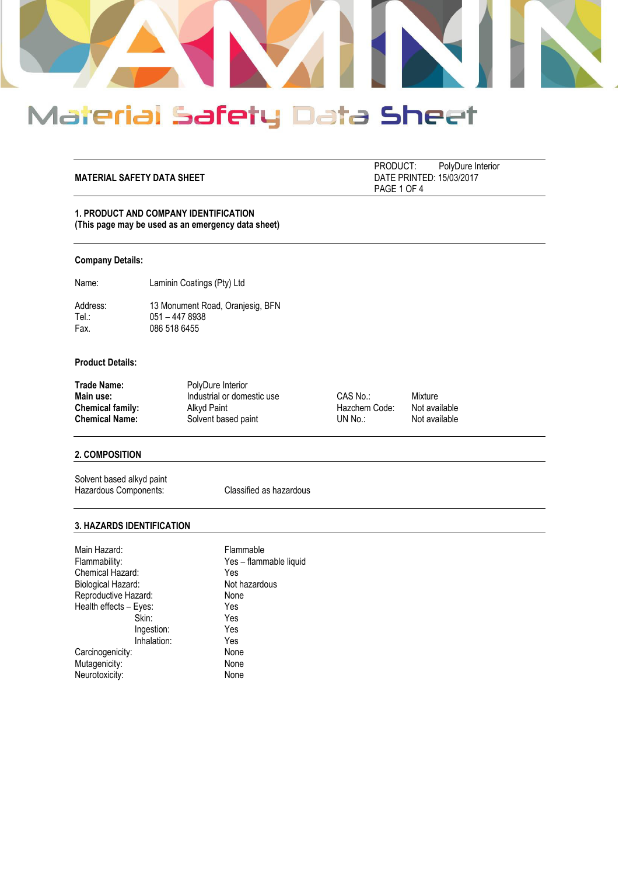

#### **MATERIAL SAFETY DATA SHEET**

PRODUCT: PolyDure Interior<br>DATE PRINTED: 15/03/2017 PAGE 1 OF 4

## **1. PRODUCT AND COMPANY IDENTIFICATION (This page may be used as an emergency data sheet)**

#### **Company Details:**

Name: Laminin Coatings (Pty) Ltd

Address: 13 Monument Road, Oranjesig, BFN<br>Tel.: 051 - 447 8938 Tel.: 051 – 447 8938<br>Fax. 086 518 6455 086 518 6455

## **Product Details:**

| Trade Name:           | PolyDure Interior          |               |               |
|-----------------------|----------------------------|---------------|---------------|
| Main use:             | Industrial or domestic use | CAS No.:      | Mixture       |
| Chemical family:      | Alkvd Paint                | Hazchem Code: | Not available |
| <b>Chemical Name:</b> | Solvent based paint        | UN No.:       | Not available |

## **2. COMPOSITION**

Solvent based alkyd paint Hazardous Components: Classified as hazardous

#### **3. HAZARDS IDENTIFICATION**

| Flammable              |
|------------------------|
| Yes - flammable liquid |
| Yes                    |
| Not hazardous          |
| None                   |
| Yes                    |
| Yes                    |
| Yes                    |
| Yes                    |
| None                   |
| None                   |
| None                   |
|                        |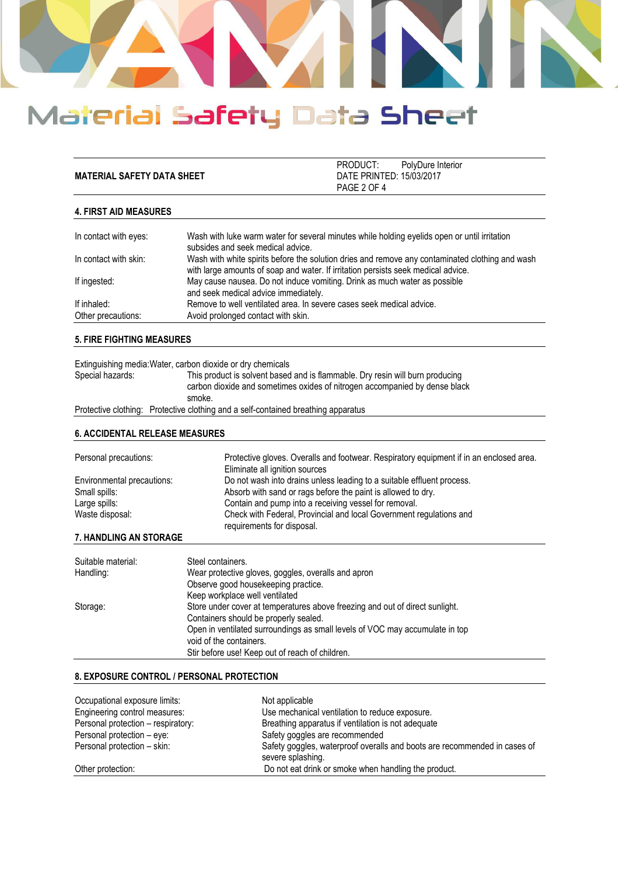

|                                   | PRODUCT:                 | PolvDure Interior |
|-----------------------------------|--------------------------|-------------------|
| <b>MATERIAL SAFETY DATA SHEET</b> | DATE PRINTED: 15/03/2017 |                   |
|                                   | PAGE 2 OF 4              |                   |

## **4. FIRST AID MEASURES**

| In contact with eyes:             | Wash with luke warm water for several minutes while holding eyelids open or until irritation<br>subsides and seek medical advice.                                                    |
|-----------------------------------|--------------------------------------------------------------------------------------------------------------------------------------------------------------------------------------|
| In contact with skin:             | Wash with white spirits before the solution dries and remove any contaminated clothing and wash<br>with large amounts of soap and water. If irritation persists seek medical advice. |
| If ingested:                      | May cause nausea. Do not induce vomiting. Drink as much water as possible<br>and seek medical advice immediately.                                                                    |
| If inhaled:<br>Other precautions: | Remove to well ventilated area. In severe cases seek medical advice.<br>Avoid prolonged contact with skin.                                                                           |

## **5. FIRE FIGHTING MEASURES**

|                  | Extinguishing media: Water, carbon dioxide or dry chemicals                                                                                                           |
|------------------|-----------------------------------------------------------------------------------------------------------------------------------------------------------------------|
| Special hazards: | This product is solvent based and is flammable. Dry resin will burn producing<br>carbon dioxide and sometimes oxides of nitrogen accompanied by dense black<br>smoke. |
|                  | Protective clothing: Protective clothing and a self-contained breathing apparatus                                                                                     |

### **6. ACCIDENTAL RELEASE MEASURES**

| Personal precautions:      | Protective gloves. Overalls and footwear. Respiratory equipment if in an enclosed area.<br>Eliminate all ignition sources |
|----------------------------|---------------------------------------------------------------------------------------------------------------------------|
| Environmental precautions: | Do not wash into drains unless leading to a suitable effluent process.                                                    |
| Small spills:              | Absorb with sand or rags before the paint is allowed to dry.                                                              |
| Large spills:              | Contain and pump into a receiving vessel for removal.                                                                     |
| Waste disposal:            | Check with Federal, Provincial and local Government regulations and                                                       |
| 7.11                       | requirements for disposal.                                                                                                |

## **7. HANDLING AN STORAGE**

| Suitable material: | Steel containers.                                                            |
|--------------------|------------------------------------------------------------------------------|
| Handling:          | Wear protective gloves, goggles, overalls and apron                          |
|                    | Observe good housekeeping practice.                                          |
|                    | Keep workplace well ventilated                                               |
| Storage:           | Store under cover at temperatures above freezing and out of direct sunlight. |
|                    | Containers should be properly sealed.                                        |
|                    | Open in ventilated surroundings as small levels of VOC may accumulate in top |
|                    | void of the containers.                                                      |
|                    | Stir before use! Keep out of reach of children.                              |

### **8. EXPOSURE CONTROL / PERSONAL PROTECTION**

| Occupational exposure limits:      | Not applicable                                                                                 |
|------------------------------------|------------------------------------------------------------------------------------------------|
| Engineering control measures:      | Use mechanical ventilation to reduce exposure.                                                 |
| Personal protection - respiratory: | Breathing apparatus if ventilation is not adequate                                             |
| Personal protection - eye:         | Safety goggles are recommended                                                                 |
| Personal protection - skin:        | Safety goggles, waterproof overalls and boots are recommended in cases of<br>severe splashing. |
| Other protection:                  | Do not eat drink or smoke when handling the product.                                           |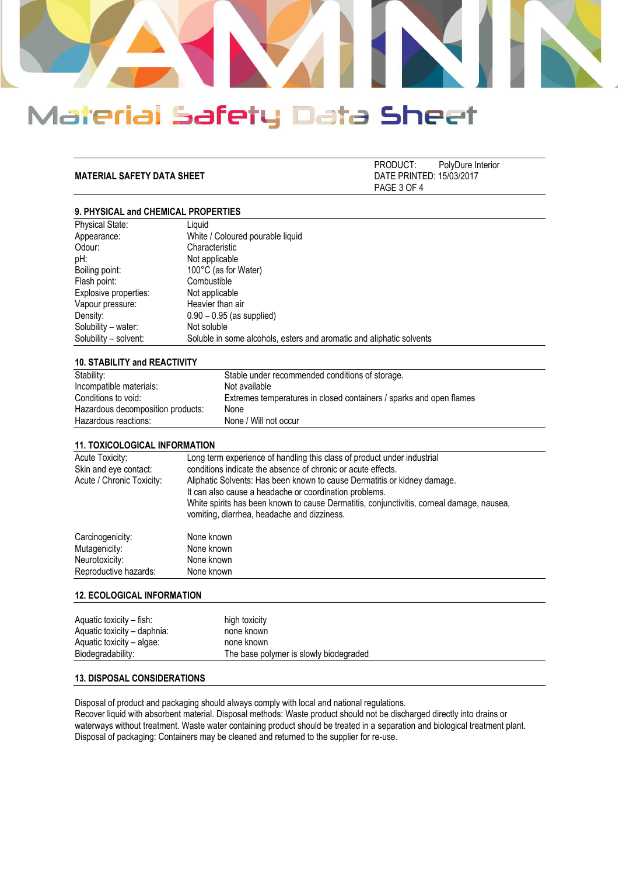

**MATERIAL SAFETY DATA SHEET** 

PRODUCT: PolyDure Interior<br>DATE PRINTED: 15/03/2017 PAGE 3 OF 4

## **9. PHYSICAL and CHEMICAL PROPERTIES**

| Liauid                                                               |
|----------------------------------------------------------------------|
| White / Coloured pourable liquid                                     |
| Characteristic                                                       |
| Not applicable                                                       |
| 100°C (as for Water)                                                 |
| Combustible                                                          |
| Not applicable                                                       |
| Heavier than air                                                     |
| $0.90 - 0.95$ (as supplied)                                          |
| Not soluble                                                          |
| Soluble in some alcohols, esters and aromatic and aliphatic solvents |
|                                                                      |

#### **10. STABILITY and REACTIVITY**

| Stability:                        | Stable under recommended conditions of storage.                     |
|-----------------------------------|---------------------------------------------------------------------|
| Incompatible materials:           | Not available                                                       |
| Conditions to void:               | Extremes temperatures in closed containers / sparks and open flames |
| Hazardous decomposition products: | None                                                                |
| Hazardous reactions:              | None / Will not occur                                               |

#### **11. TOXICOLOGICAL INFORMATION**

| Acute Toxicity:<br>Skin and eye contact:<br>Acute / Chronic Toxicity: | Long term experience of handling this class of product under industrial<br>conditions indicate the absence of chronic or acute effects.<br>Aliphatic Solvents: Has been known to cause Dermatitis or kidney damage.<br>It can also cause a headache or coordination problems.<br>White spirits has been known to cause Dermatitis, conjunctivitis, corneal damage, nausea,<br>vomiting, diarrhea, headache and dizziness. |
|-----------------------------------------------------------------------|---------------------------------------------------------------------------------------------------------------------------------------------------------------------------------------------------------------------------------------------------------------------------------------------------------------------------------------------------------------------------------------------------------------------------|
| Carcinogenicity:                                                      | None known                                                                                                                                                                                                                                                                                                                                                                                                                |
| Mutagenicity:                                                         | None known                                                                                                                                                                                                                                                                                                                                                                                                                |
| Neurotoxicity:                                                        | None known                                                                                                                                                                                                                                                                                                                                                                                                                |
| Reproductive hazards:                                                 | None known                                                                                                                                                                                                                                                                                                                                                                                                                |

#### **12. ECOLOGICAL INFORMATION**

| Aquatic toxicity – fish:    | high toxicity                          |
|-----------------------------|----------------------------------------|
| Aquatic toxicity – daphnia: | none known                             |
| Aquatic toxicity – algae:   | none known                             |
| Biodegradability:           | The base polymer is slowly biodegraded |

## **13. DISPOSAL CONSIDERATIONS**

Disposal of product and packaging should always comply with local and national regulations.

Recover liquid with absorbent material. Disposal methods: Waste product should not be discharged directly into drains or waterways without treatment. Waste water containing product should be treated in a separation and biological treatment plant. Disposal of packaging: Containers may be cleaned and returned to the supplier for re-use.